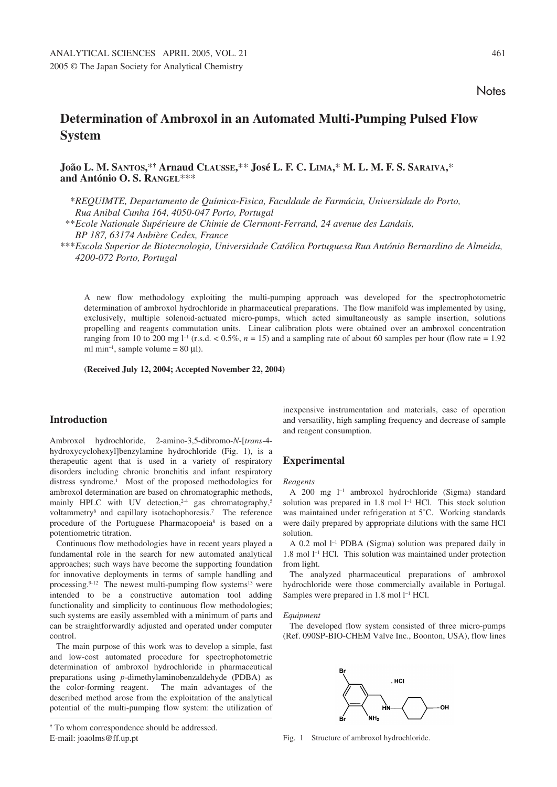# **Determination of Ambroxol in an Automated Multi-Pumping Pulsed Flow System**

# **João L. M. SANTOS,**\***† Arnaud CLAUSSE,**\*\* **José L. F. C. LIMA,**\* **M. L. M. F. S. SARAIVA,**\* **and António O. S. RANGEL**\*\*\*

\**REQUIMTE, Departamento de Química-Fisica, Faculdade de Farmácia, Universidade do Porto, Rua Anibal Cunha 164, 4050-047 Porto, Portugal*

\*\**Ecole Nationale Supérieure de Chimie de Clermont-Ferrand, 24 avenue des Landais, BP 187, 63174 Aubière Cedex, France*

\*\*\**Escola Superior de Biotecnologia, Universidade Católica Portuguesa Rua António Bernardino de Almeida, 4200-072 Porto, Portugal*

A new flow methodology exploiting the multi-pumping approach was developed for the spectrophotometric determination of ambroxol hydrochloride in pharmaceutical preparations. The flow manifold was implemented by using, exclusively, multiple solenoid-actuated micro-pumps, which acted simultaneously as sample insertion, solutions propelling and reagents commutation units. Linear calibration plots were obtained over an ambroxol concentration ranging from 10 to 200 mg  $l^{-1}$  (r.s.d.  $< 0.5\%$ ,  $n = 15$ ) and a sampling rate of about 60 samples per hour (flow rate = 1.92) ml min<sup>-1</sup>, sample volume =  $80 \mu$ l).

**(Received July 12, 2004; Accepted November 22, 2004)**

# **Introduction**

Ambroxol hydrochloride, 2-amino-3,5-dibromo-*N*-[*trans*-4 hydroxycyclohexyl]benzylamine hydrochloride (Fig. 1), is a therapeutic agent that is used in a variety of respiratory disorders including chronic bronchitis and infant respiratory distress syndrome.1 Most of the proposed methodologies for ambroxol determination are based on chromatographic methods, mainly HPLC with UV detection,<sup>2-4</sup> gas chromatography,<sup>5</sup> voltammetry6 and capillary isotachophoresis.7 The reference procedure of the Portuguese Pharmacopoeia<sup>8</sup> is based on a potentiometric titration.

Continuous flow methodologies have in recent years played a fundamental role in the search for new automated analytical approaches; such ways have become the supporting foundation for innovative deployments in terms of sample handling and processing. $9-12$  The newest multi-pumping flow systems<sup>13</sup> were intended to be a constructive automation tool adding functionality and simplicity to continuous flow methodologies; such systems are easily assembled with a minimum of parts and can be straightforwardly adjusted and operated under computer control.

The main purpose of this work was to develop a simple, fast and low-cost automated procedure for spectrophotometric determination of ambroxol hydrochloride in pharmaceutical preparations using *p*-dimethylaminobenzaldehyde (PDBA) as the color-forming reagent. The main advantages of the described method arose from the exploitation of the analytical potential of the multi-pumping flow system: the utilization of

# **Experimental**

#### *Reagents*

A 200 mg l–1 ambroxol hydrochloride (Sigma) standard solution was prepared in  $1.8$  mol  $1^{-1}$  HCl. This stock solution was maintained under refrigeration at 5˚C. Working standards were daily prepared by appropriate dilutions with the same HCl solution.

A 0.2 mol l–1 PDBA (Sigma) solution was prepared daily in 1.8 mol l<sup>-1</sup> HCl. This solution was maintained under protection from light.

The analyzed pharmaceutical preparations of ambroxol hydrochloride were those commercially available in Portugal. Samples were prepared in  $1.8$  mol  $1^{-1}$  HCl.

#### *Equipment*

The developed flow system consisted of three micro-pumps (Ref. 090SP-BIO-CHEM Valve Inc., Boonton, USA), flow lines



**<sup>†</sup>** To whom correspondence should be addressed. E-mail: joaolms@ff.up.pt Fig. 1 Structure of ambroxol hydrochloride.

inexpensive instrumentation and materials, ease of operation and versatility, high sampling frequency and decrease of sample and reagent consumption.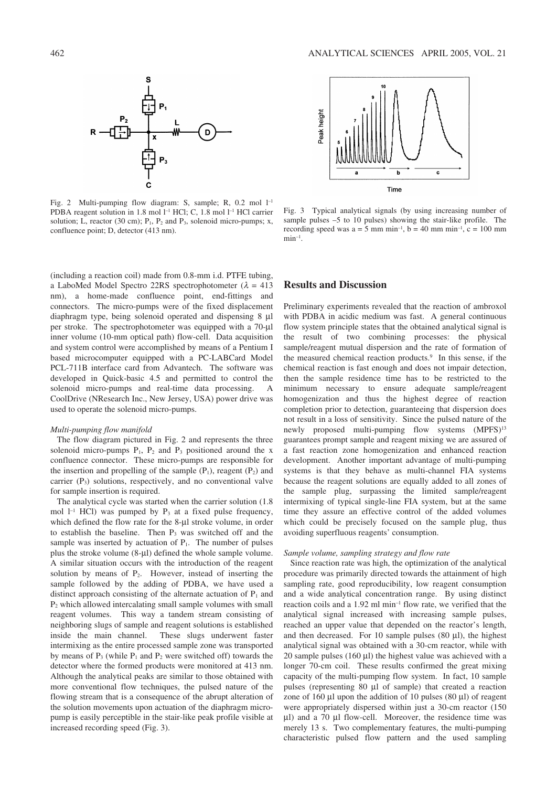

Fig. 2 Multi-pumping flow diagram: S, sample; R, 0.2 mol l–1 PDBA reagent solution in 1.8 mol l<sup>-1</sup> HCl; C, 1.8 mol l<sup>-1</sup> HCl carrier solution; L, reactor (30 cm);  $P_1$ ,  $P_2$  and  $P_3$ , solenoid micro-pumps; x, confluence point; D, detector (413 nm).



Fig. 3 Typical analytical signals (by using increasing number of sample pulses –5 to 10 pulses) showing the stair-like profile. The recording speed was  $a = 5$  mm min<sup>-1</sup>,  $b = 40$  mm min<sup>-1</sup>,  $c = 100$  mm  $min^{-1}$ .

(including a reaction coil) made from 0.8-mm i.d. PTFE tubing, a LaboMed Model Spectro 22RS spectrophotometer ( $\lambda = 413$ ) nm), a home-made confluence point, end-fittings and connectors. The micro-pumps were of the fixed displacement diaphragm type, being solenoid operated and dispensing 8 µl per stroke. The spectrophotometer was equipped with a 70-µl inner volume (10-mm optical path) flow-cell. Data acquisition and system control were accomplished by means of a Pentium I based microcomputer equipped with a PC-LABCard Model PCL-711B interface card from Advantech. The software was developed in Quick-basic 4.5 and permitted to control the solenoid micro-pumps and real-time data processing. A CoolDrive (NResearch Inc., New Jersey, USA) power drive was used to operate the solenoid micro-pumps.

#### *Multi-pumping flow manifold*

The flow diagram pictured in Fig. 2 and represents the three solenoid micro-pumps  $P_1$ ,  $P_2$  and  $P_3$  positioned around the x confluence connector. These micro-pumps are responsible for the insertion and propelling of the sample  $(P_1)$ , reagent  $(P_2)$  and carrier  $(P_3)$  solutions, respectively, and no conventional valve for sample insertion is required.

The analytical cycle was started when the carrier solution (1.8 mol  $1^{-1}$  HCl) was pumped by P<sub>3</sub> at a fixed pulse frequency, which defined the flow rate for the 8-µl stroke volume, in order to establish the baseline. Then  $P_3$  was switched off and the sample was inserted by actuation of  $P_1$ . The number of pulses plus the stroke volume (8-µl) defined the whole sample volume. A similar situation occurs with the introduction of the reagent solution by means of  $P_2$ . However, instead of inserting the sample followed by the adding of PDBA, we have used a distinct approach consisting of the alternate actuation of  $P_1$  and P2 which allowed intercalating small sample volumes with small reagent volumes. This way a tandem stream consisting of neighboring slugs of sample and reagent solutions is established inside the main channel. These slugs underwent faster intermixing as the entire processed sample zone was transported by means of  $P_3$  (while  $P_1$  and  $P_2$  were switched off) towards the detector where the formed products were monitored at 413 nm. Although the analytical peaks are similar to those obtained with more conventional flow techniques, the pulsed nature of the flowing stream that is a consequence of the abrupt alteration of the solution movements upon actuation of the diaphragm micropump is easily perceptible in the stair-like peak profile visible at increased recording speed (Fig. 3).

## **Results and Discussion**

Preliminary experiments revealed that the reaction of ambroxol with PDBA in acidic medium was fast. A general continuous flow system principle states that the obtained analytical signal is the result of two combining processes: the physical sample/reagent mutual dispersion and the rate of formation of the measured chemical reaction products.<sup>9</sup> In this sense, if the chemical reaction is fast enough and does not impair detection, then the sample residence time has to be restricted to the minimum necessary to ensure adequate sample/reagent homogenization and thus the highest degree of reaction completion prior to detection, guaranteeing that dispersion does not result in a loss of sensitivity. Since the pulsed nature of the newly proposed multi-pumping flow systems (MPFS)<sup>13</sup> guarantees prompt sample and reagent mixing we are assured of a fast reaction zone homogenization and enhanced reaction development. Another important advantage of multi-pumping systems is that they behave as multi-channel FIA systems because the reagent solutions are equally added to all zones of the sample plug, surpassing the limited sample/reagent intermixing of typical single-line FIA system, but at the same time they assure an effective control of the added volumes which could be precisely focused on the sample plug, thus avoiding superfluous reagents' consumption.

#### *Sample volume, sampling strategy and flow rate*

Since reaction rate was high, the optimization of the analytical procedure was primarily directed towards the attainment of high sampling rate, good reproducibility, low reagent consumption and a wide analytical concentration range. By using distinct reaction coils and a 1.92 ml min–1 flow rate, we verified that the analytical signal increased with increasing sample pulses, reached an upper value that depended on the reactor's length, and then decreased. For 10 sample pulses  $(80 \mu l)$ , the highest analytical signal was obtained with a 30-cm reactor, while with 20 sample pulses (160 µl) the highest value was achieved with a longer 70-cm coil. These results confirmed the great mixing capacity of the multi-pumping flow system. In fact, 10 sample pulses (representing 80 µl of sample) that created a reaction zone of 160  $\mu$ l upon the addition of 10 pulses (80  $\mu$ l) of reagent were appropriately dispersed within just a 30-cm reactor (150 µl) and a 70 µl flow-cell. Moreover, the residence time was merely 13 s. Two complementary features, the multi-pumping characteristic pulsed flow pattern and the used sampling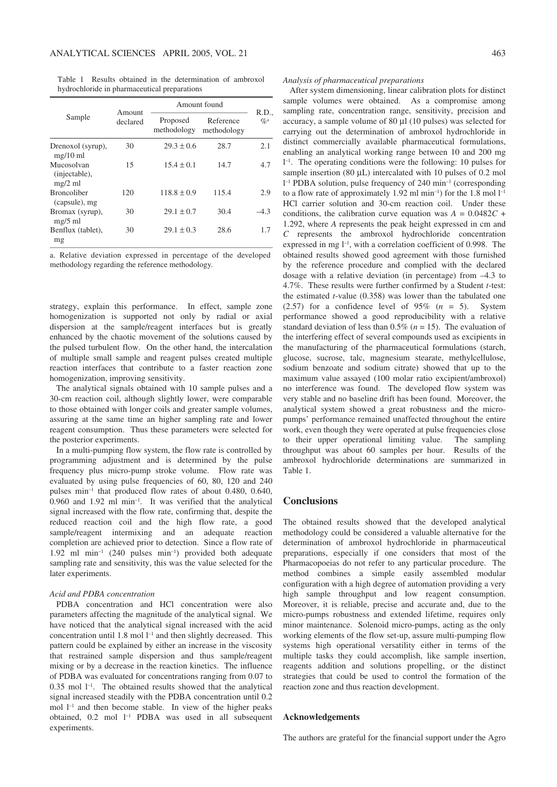Table 1 Results obtained in the determination of ambroxol hydrochloride in pharmaceutical preparations

| Sample                                   | Amount<br>declared | Amount found            |                          |                   |
|------------------------------------------|--------------------|-------------------------|--------------------------|-------------------|
|                                          |                    | Proposed<br>methodology | Reference<br>methodology | R.D.,<br>$Q'_0$ a |
| Drenoxol (syrup),<br>$mg/10$ ml          | 30                 | $29.3 \pm 0.6$          | 28.7                     | 2.1               |
| Mucosolvan<br>(injectable),<br>$mg/2$ ml | 15                 | $15.4 \pm 0.1$          | 14.7                     | 4.7               |
| <b>Broncoliber</b><br>(capsule), mg      | 120                | $118.8 \pm 0.9$         | 115.4                    | 2.9               |
| Bromax (syrup),<br>$mg/5$ ml             | 30                 | $29.1 \pm 0.7$          | 30.4                     | $-4.3$            |
| Benflux (tablet),<br>mg                  | 30                 | $29.1 \pm 0.3$          | 28.6                     | 1.7               |

a. Relative deviation expressed in percentage of the developed methodology regarding the reference methodology.

strategy, explain this performance. In effect, sample zone homogenization is supported not only by radial or axial dispersion at the sample/reagent interfaces but is greatly enhanced by the chaotic movement of the solutions caused by the pulsed turbulent flow. On the other hand, the intercalation of multiple small sample and reagent pulses created multiple reaction interfaces that contribute to a faster reaction zone homogenization, improving sensitivity.

The analytical signals obtained with 10 sample pulses and a 30-cm reaction coil, although slightly lower, were comparable to those obtained with longer coils and greater sample volumes, assuring at the same time an higher sampling rate and lower reagent consumption. Thus these parameters were selected for the posterior experiments.

In a multi-pumping flow system, the flow rate is controlled by programming adjustment and is determined by the pulse frequency plus micro-pump stroke volume. Flow rate was evaluated by using pulse frequencies of 60, 80, 120 and 240 pulses min–1 that produced flow rates of about 0.480, 0.640,  $0.960$  and  $1.92$  ml min<sup>-1</sup>. It was verified that the analytical signal increased with the flow rate, confirming that, despite the reduced reaction coil and the high flow rate, a good sample/reagent intermixing and an adequate reaction completion are achieved prior to detection. Since a flow rate of 1.92 ml min–1 (240 pulses min–1) provided both adequate sampling rate and sensitivity, this was the value selected for the later experiments.

#### *Acid and PDBA concentration*

PDBA concentration and HCl concentration were also parameters affecting the magnitude of the analytical signal. We have noticed that the analytical signal increased with the acid concentration until  $1.8$  mol  $l^{-1}$  and then slightly decreased. This pattern could be explained by either an increase in the viscosity that restrained sample dispersion and thus sample/reagent mixing or by a decrease in the reaction kinetics. The influence of PDBA was evaluated for concentrations ranging from 0.07 to  $0.35$  mol  $1^{-1}$ . The obtained results showed that the analytical signal increased steadily with the PDBA concentration until 0.2 mol  $l^{-1}$  and then become stable. In view of the higher peaks obtained, 0.2 mol l–1 PDBA was used in all subsequent experiments.

#### *Analysis of pharmaceutical preparations*

After system dimensioning, linear calibration plots for distinct sample volumes were obtained. As a compromise among sampling rate, concentration range, sensitivity, precision and accuracy, a sample volume of 80 µl (10 pulses) was selected for carrying out the determination of ambroxol hydrochloride in distinct commercially available pharmaceutical formulations, enabling an analytical working range between 10 and 200 mg l –1. The operating conditions were the following: 10 pulses for sample insertion (80  $\mu$ L) intercalated with 10 pulses of 0.2 mol l –1 PDBA solution, pulse frequency of 240 min–1 (corresponding to a flow rate of approximately 1.92 ml min<sup>-1</sup>) for the 1.8 mol  $l^{-1}$ HCl carrier solution and 30-cm reaction coil. Under these conditions, the calibration curve equation was  $A = 0.0482C +$ 1.292, where *A* represents the peak height expressed in cm and *C* represents the ambroxol hydrochloride concentration expressed in mg  $l^{-1}$ , with a correlation coefficient of 0.998. The obtained results showed good agreement with those furnished by the reference procedure and complied with the declared dosage with a relative deviation (in percentage) from –4.3 to 4.7%. These results were further confirmed by a Student *t*-test: the estimated *t*-value (0.358) was lower than the tabulated one (2.57) for a confidence level of  $95\%$  ( $n = 5$ ). System performance showed a good reproducibility with a relative standard deviation of less than  $0.5\%$  ( $n = 15$ ). The evaluation of the interfering effect of several compounds used as excipients in the manufacturing of the pharmaceutical formulations (starch, glucose, sucrose, talc, magnesium stearate, methylcellulose, sodium benzoate and sodium citrate) showed that up to the maximum value assayed (100 molar ratio excipient/ambroxol) no interference was found. The developed flow system was very stable and no baseline drift has been found. Moreover, the analytical system showed a great robustness and the micropumps' performance remained unaffected throughout the entire work, even though they were operated at pulse frequencies close to their upper operational limiting value. The sampling throughput was about 60 samples per hour. Results of the ambroxol hydrochloride determinations are summarized in Table 1.

## **Conclusions**

The obtained results showed that the developed analytical methodology could be considered a valuable alternative for the determination of ambroxol hydrochloride in pharmaceutical preparations, especially if one considers that most of the Pharmacopoeias do not refer to any particular procedure. The method combines a simple easily assembled modular configuration with a high degree of automation providing a very high sample throughput and low reagent consumption. Moreover, it is reliable, precise and accurate and, due to the micro-pumps robustness and extended lifetime, requires only minor maintenance. Solenoid micro-pumps, acting as the only working elements of the flow set-up, assure multi-pumping flow systems high operational versatility either in terms of the multiple tasks they could accomplish, like sample insertion, reagents addition and solutions propelling, or the distinct strategies that could be used to control the formation of the reaction zone and thus reaction development.

#### **Acknowledgements**

The authors are grateful for the financial support under the Agro